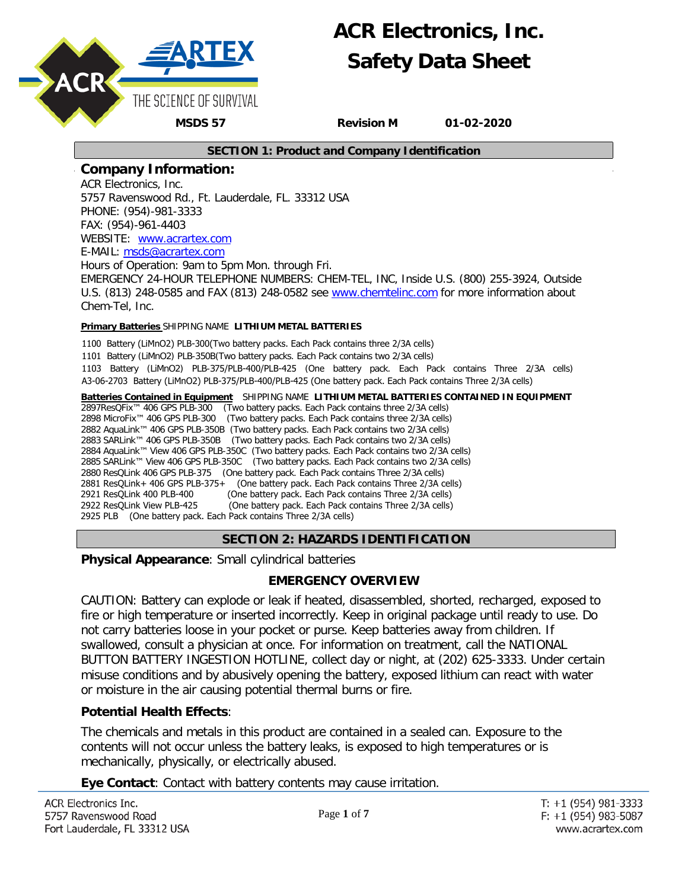

#### **SECTION 1: Product and Company Identification**

### **Company Information:**

ACR Electronics, Inc. 5757 Ravenswood Rd., Ft. Lauderdale, FL. 33312 USA PHONE: (954)-981-3333 FAX: (954)-961-4403 WEBSITE: www.acrartex.com E-MAIL: m[sds@acrartex.com](http://www.acrartex.com/)

Hours o[f Operation: 9am to 5p](mailto:msds@acrartex.com)m Mon. through Fri. EMERGENCY 24-HOUR TELEPHONE NUMBERS: CHEM-TEL, INC, Inside U.S. (800) 255-3924, Outside U.S. (813) 248-0585 and FAX (813) 248-0582 see [www.chemtelinc.com](http://www.chemtelinc.com/) for more information about Chem-Tel, Inc.

#### **Primary Batteries** SHIPPING NAME **LITHIUM METAL BATTERIES**

1100 Battery (LiMnO2) PLB-300(Two battery packs. Each Pack contains three 2/3A cells) 1101 Battery (LiMnO2) PLB-350B(Two battery packs. Each Pack contains two 2/3A cells) 1103 Battery (LiMnO2) PLB-375/PLB-400/PLB-425 (One battery pack. Each Pack contains Three 2/3A cells) A3-06-2703 Battery (LiMnO2) PLB-375/PLB-400/PLB-425 (One battery pack. Each Pack contains Three 2/3A cells)

**Batteries Contained in Equipment** SHIPPING NAME **LITHIUM METAL BATTERIES CONTAINED IN EQUIPMENT** 2897ResQFix™ 406 GPS PLB-300 (Two battery packs. Each Pack contains three 2/3A cells) 2898 MicroFix™ 406 GPS PLB-300 (Two battery packs. Each Pack contains three 2/3A cells) 2882 AquaLink™ 406 GPS PLB-350B (Two battery packs. Each Pack contains two 2/3A cells) 2883 SARLink™ 406 GPS PLB-350B (Two battery packs. Each Pack contains two 2/3A cells) 2884 AquaLink™ View 406 GPS PLB-350C (Two battery packs. Each Pack contains two 2/3A cells) 2885 SARLink™ View 406 GPS PLB-350C (Two battery packs. Each Pack contains two 2/3A cells) 2880 ResQLink 406 GPS PLB-375 (One battery pack. Each Pack contains Three 2/3A cells) 2881 ResQLink+ 406 GPS PLB-375+ (One battery pack. Each Pack contains Three 2/3A cells) 2921 ResQLink 400 PLB-400 (One battery pack. Each Pack contains Three 2/3A cells) 2922 ResQLink View PLB-425 (One battery pack. Each Pack contains Three 2/3A cells) 2925 PLB (One battery pack. Each Pack contains Three 2/3A cells)

### **SECTION 2: HAZARDS IDENTIFICATION**

**Physical Appearance**: Small cylindrical batteries

### **EMERGENCY OVERVIEW**

CAUTION: Battery can explode or leak if heated, disassembled, shorted, recharged, exposed to fire or high temperature or inserted incorrectly. Keep in original package until ready to use. Do not carry batteries loose in your pocket or purse. Keep batteries away from children. If swallowed, consult a physician at once. For information on treatment, call the NATIONAL BUTTON BATTERY INGESTION HOTLINE, collect day or night, at (202) 625-3333. Under certain misuse conditions and by abusively opening the battery, exposed lithium can react with water or moisture in the air causing potential thermal burns or fire.

### **Potential Health Effects**:

The chemicals and metals in this product are contained in a sealed can. Exposure to the contents will not occur unless the battery leaks, is exposed to high temperatures or is mechanically, physically, or electrically abused.

**Eye Contact**: Contact with battery contents may cause irritation.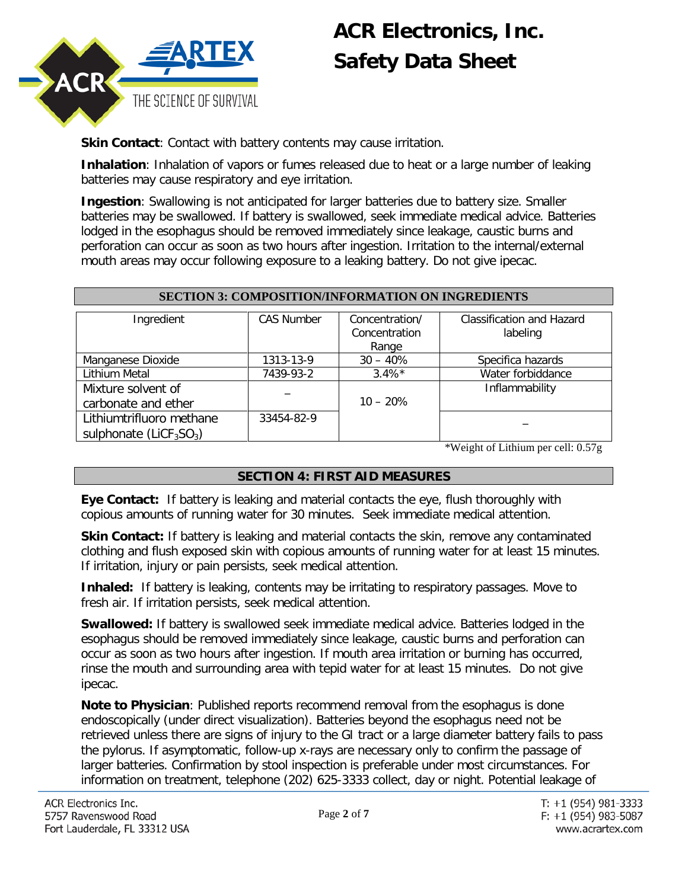

**Skin Contact:** Contact with battery contents may cause irritation.

**Inhalation**: Inhalation of vapors or fumes released due to heat or a large number of leaking batteries may cause respiratory and eye irritation.

**Ingestion**: Swallowing is not anticipated for larger batteries due to battery size. Smaller batteries may be swallowed. If battery is swallowed, seek immediate medical advice. Batteries lodged in the esophagus should be removed immediately since leakage, caustic burns and perforation can occur as soon as two hours after ingestion. Irritation to the internal/external mouth areas may occur following exposure to a leaking battery. Do not give ipecac.

| SECTION 3: COMPOSITION/INFORMATION ON INGREDIENTS     |                   |                                          |                                       |  |
|-------------------------------------------------------|-------------------|------------------------------------------|---------------------------------------|--|
| Ingredient                                            | <b>CAS Number</b> | Concentration/<br>Concentration<br>Range | Classification and Hazard<br>labeling |  |
| Manganese Dioxide                                     | 1313-13-9         | $30 - 40%$                               | Specifica hazards                     |  |
| Lithium Metal                                         | 7439-93-2         | $3.4\%*$                                 | Water forbiddance                     |  |
| Mixture solvent of<br>carbonate and ether             |                   | $10 - 20%$                               | Inflammability                        |  |
| Lithiumtrifluoro methane<br>sulphonate ( $LiCF3SO3$ ) | 33454-82-9        |                                          |                                       |  |

### **SECTION 3: COMPOSITION/INFORMATION ON INGREDIENTS**

\*Weight of Lithium per cell: 0.57g

### **SECTION 4: FIRST AID MEASURES**

**Eye Contact:** If battery is leaking and material contacts the eye, flush thoroughly with copious amounts of running water for 30 minutes. Seek immediate medical attention.

**Skin Contact:** If battery is leaking and material contacts the skin, remove any contaminated clothing and flush exposed skin with copious amounts of running water for at least 15 minutes. If irritation, injury or pain persists, seek medical attention.

**Inhaled:** If battery is leaking, contents may be irritating to respiratory passages. Move to fresh air. If irritation persists, seek medical attention.

**Swallowed:** If battery is swallowed seek immediate medical advice. Batteries lodged in the esophagus should be removed immediately since leakage, caustic burns and perforation can occur as soon as two hours after ingestion. If mouth area irritation or burning has occurred, rinse the mouth and surrounding area with tepid water for at least 15 minutes. Do not give ipecac.

**Note to Physician**: Published reports recommend removal from the esophagus is done endoscopically (under direct visualization). Batteries beyond the esophagus need not be retrieved unless there are signs of injury to the GI tract or a large diameter battery fails to pass the pylorus. If asymptomatic, follow-up x-rays are necessary only to confirm the passage of larger batteries. Confirmation by stool inspection is preferable under most circumstances. For information on treatment, telephone (202) 625-3333 collect, day or night. Potential leakage of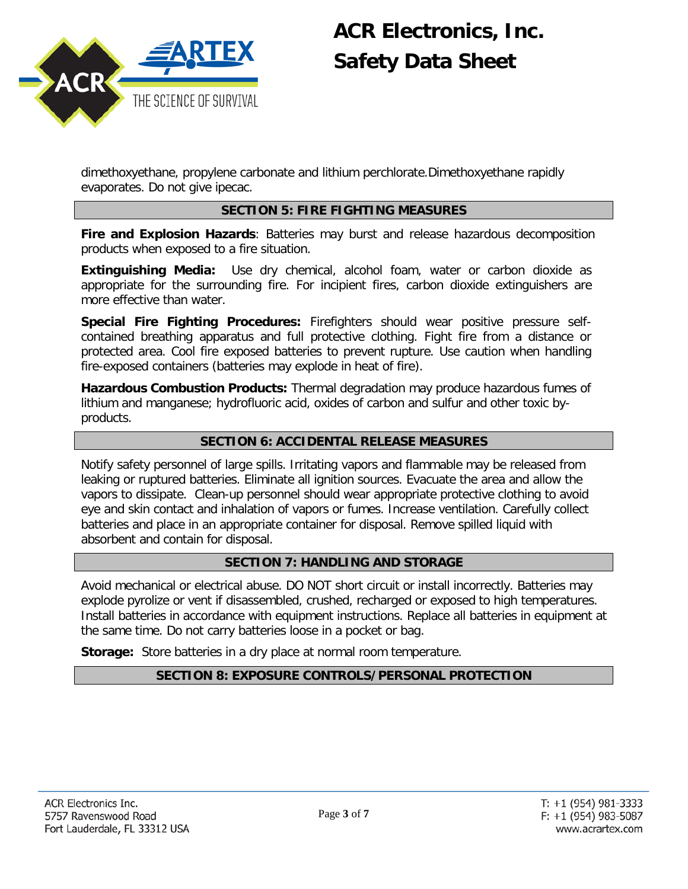

dimethoxyethane, propylene carbonate and lithium perchlorate.Dimethoxyethane rapidly evaporates. Do not give ipecac.

### **SECTION 5: FIRE FIGHTING MEASURES**

**Fire and Explosion Hazards**: Batteries may burst and release hazardous decomposition products when exposed to a fire situation.

**Extinguishing Media:** Use dry chemical, alcohol foam, water or carbon dioxide as appropriate for the surrounding fire. For incipient fires, carbon dioxide extinguishers are more effective than water.

**Special Fire Fighting Procedures:** Firefighters should wear positive pressure selfcontained breathing apparatus and full protective clothing. Fight fire from a distance or protected area. Cool fire exposed batteries to prevent rupture. Use caution when handling fire-exposed containers (batteries may explode in heat of fire).

**Hazardous Combustion Products:** Thermal degradation may produce hazardous fumes of lithium and manganese; hydrofluoric acid, oxides of carbon and sulfur and other toxic byproducts.

### **SECTION 6: ACCIDENTAL RELEASE MEASURES**

Notify safety personnel of large spills. Irritating vapors and flammable may be released from leaking or ruptured batteries. Eliminate all ignition sources. Evacuate the area and allow the vapors to dissipate. Clean-up personnel should wear appropriate protective clothing to avoid eye and skin contact and inhalation of vapors or fumes. Increase ventilation. Carefully collect batteries and place in an appropriate container for disposal. Remove spilled liquid with absorbent and contain for disposal.

### **SECTION 7: HANDLING AND STORAGE**

Avoid mechanical or electrical abuse. DO NOT short circuit or install incorrectly. Batteries may explode pyrolize or vent if disassembled, crushed, recharged or exposed to high temperatures. Install batteries in accordance with equipment instructions. Replace all batteries in equipment at the same time. Do not carry batteries loose in a pocket or bag.

**Storage:** Store batteries in a dry place at normal room temperature.

### **SECTION 8: EXPOSURE CONTROLS/PERSONAL PROTECTION**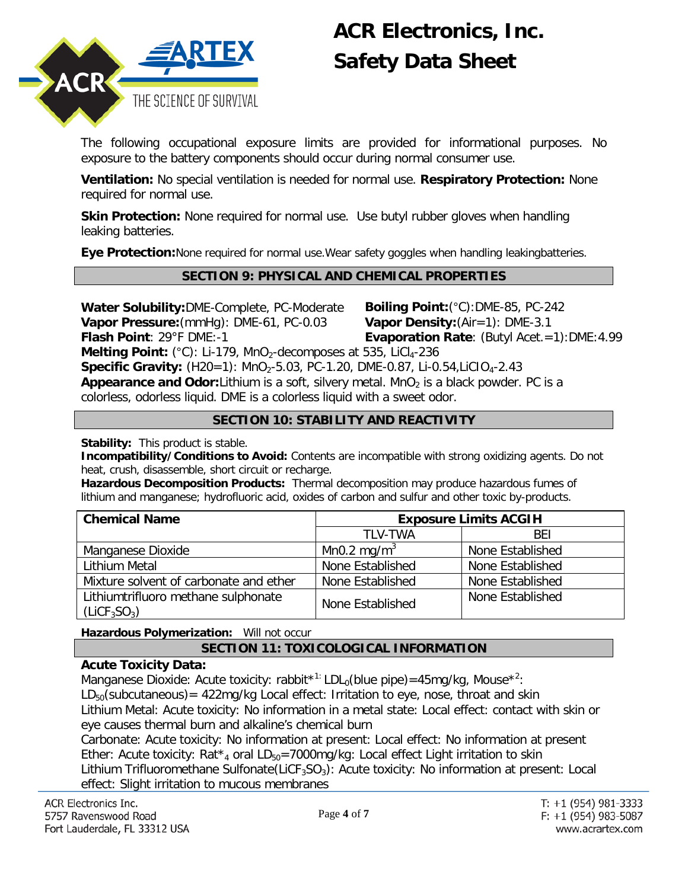

The following occupational exposure limits are provided for informational purposes. No exposure to the battery components should occur during normal consumer use.

**Ventilation:** No special ventilation is needed for normal use. **Respiratory Protection:** None required for normal use.

**Skin Protection:** None required for normal use. Use butyl rubber gloves when handling leaking batteries.

**Eye Protection:**None required for normal use.Wear safety goggles when handling leakingbatteries.

### **SECTION 9: PHYSICAL AND CHEMICAL PROPERTIES**

**Water Solubility:**DME-Complete, PC-Moderate **Boiling Point:**(°C):DME-85, PC-242 **Vapor Pressure:**(mmHg): DME-61, PC-0.03 **Vapor Density:**(Air=1): DME-3.1 **Flash Point**: 29°F DME:-1 **Evaporation Rate**: (Butyl Acet.=1):DME:4.99

Melting Point: (°C): Li-179, MnO<sub>2</sub>-decomposes at 535, LiCl<sub>4</sub>-236 **Specific Gravity:** (H20=1): MnO<sub>2</sub>-5.03, PC-1.20, DME-0.87, Li-0.54, LiCIO<sub>4</sub>-2.43 **Appearance and Odor:**Lithium is a soft, silvery metal. MnO<sub>2</sub> is a black powder. PC is a colorless, odorless liquid. DME is a colorless liquid with a sweet odor.

### **SECTION 10: STABILITY AND REACTIVITY**

**Stability:** This product is stable.

**Incompatibility/Conditions to Avoid:** Contents are incompatible with strong oxidizing agents. Do not heat, crush, disassemble, short circuit or recharge.

**Hazardous Decomposition Products:** Thermal decomposition may produce hazardous fumes of lithium and manganese; hydrofluoric acid, oxides of carbon and sulfur and other toxic by-products.

| <b>Chemical Name</b>                                                        | <b>Exposure Limits ACGIH</b> |                  |
|-----------------------------------------------------------------------------|------------------------------|------------------|
|                                                                             | <b>TLV-TWA</b>               | BEI              |
| Manganese Dioxide                                                           | Mn0.2 mg/m <sup>3</sup>      | None Established |
| Lithium Metal                                                               | None Established             | None Established |
| Mixture solvent of carbonate and ether                                      | None Established             | None Established |
| Lithiumtrifluoro methane sulphonate<br>(LICF <sub>3</sub> SO <sub>3</sub> ) | None Established             | None Established |

**Hazardous Polymerization:** Will not occur

## **SECTION 11: TOXICOLOGICAL INFORMATION**

### **Acute Toxicity Data:**

Manganese Dioxide: Acute toxicity: rabbit\*<sup>1:</sup> LDL<sub>0</sub>(blue pipe)=45mg/kg, Mouse\*<sup>2</sup>:  $LD_{50}$ (subcutaneous) = 422mg/kg Local effect: Irritation to eye, nose, throat and skin Lithium Metal: Acute toxicity: No information in a metal state: Local effect: contact with skin or eye causes thermal burn and alkaline's chemical burn

Carbonate: Acute toxicity: No information at present: Local effect: No information at present Ether: Acute toxicity: Rat<sup>\*</sup><sub>4</sub> oral LD<sub>50</sub>=7000mg/kg: Local effect Light irritation to skin Lithium Trifluoromethane Sulfonate(LiCF<sub>3</sub>SO<sub>3</sub>): Acute toxicity: No information at present: Local effect: Slight irritation to mucous membranes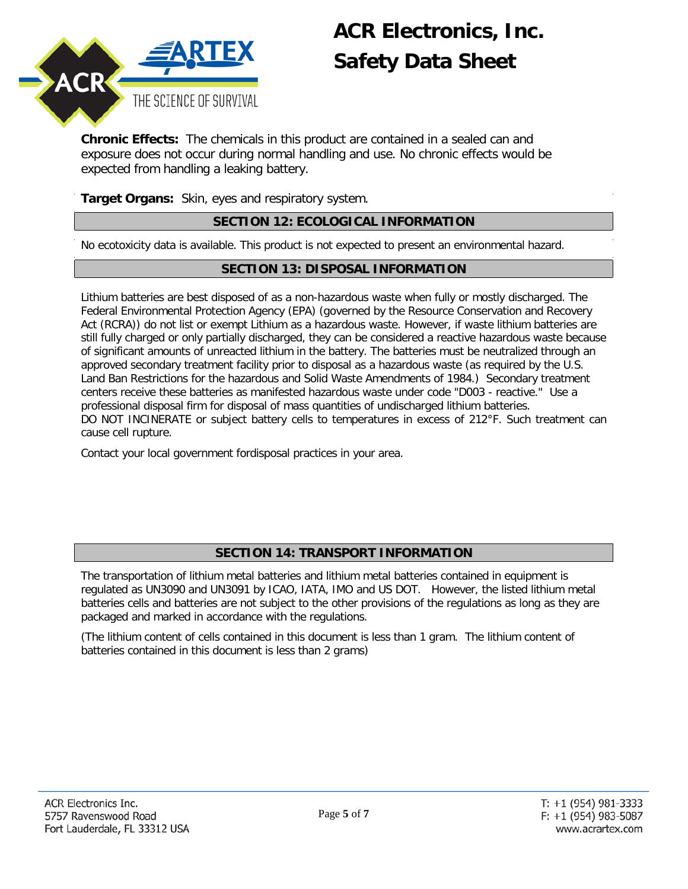

**Chronic Effects:** The chemicals in this product are contained in a sealed can and exposure does not occur during normal handling and use. No chronic effects would be expected from handling a leaking battery.

**Target Organs:** Skin, eyes and respiratory system.

### **SECTION 12: ECOLOGICAL INFORMATION**

No ecotoxicity data is available. This product is not expected to present an environmental hazard.

### **SECTION 13: DISPOSAL INFORMATION**

Lithium batteries are best disposed of as a non-hazardous waste when fully or mostly discharged. The Federal Environmental Protection Agency (EPA) (governed by the Resource Conservation and Recovery Act (RCRA)) do not list or exempt Lithium as a hazardous waste. However, if waste lithium batteries are still fully charged or only partially discharged, they can be considered a reactive hazardous waste because of significant amounts of unreacted lithium in the battery. The batteries must be neutralized through an approved secondary treatment facility prior to disposal as a hazardous waste (as required by the U.S. Land Ban Restrictions for the hazardous and Solid Waste Amendments of 1984.) Secondary treatment centers receive these batteries as manifested hazardous waste under code "D003 - reactive." Use a professional disposal firm for disposal of mass quantities of undischarged lithium batteries. DO NOT INCINERATE or subject battery cells to temperatures in excess of 212°F. Such treatment can cause cell rupture.

Contact your local government fordisposal practices in your area.

### **SECTION 14: TRANSPORT INFORMATION**

The transportation of lithium metal batteries and lithium metal batteries contained in equipment is regulated as UN3090 and UN3091 by ICAO, IATA, IMO and US DOT. However, the listed lithium metal batteries cells and batteries are not subject to the other provisions of the regulations as long as they are packaged and marked in accordance with the regulations.

(The lithium content of cells contained in this document is less than 1 gram. The lithium content of batteries contained in this document is less than 2 grams)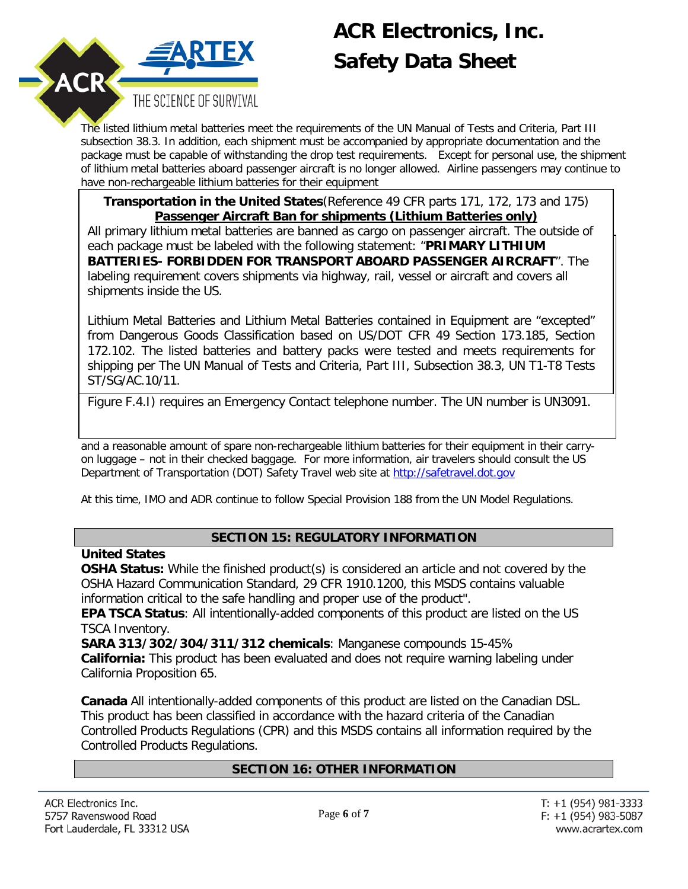

The listed lithium metal batteries meet the requirements of the UN Manual of Tests and Criteria, Part III subsection 38.3. In addition, each shipment must be accompanied by appropriate documentation and the package must be capable of withstanding the drop test requirements. Except for personal use, the shipment of lithium metal batteries aboard passenger aircraft is no longer allowed. Airline passengers may continue to have non-rechargeable lithium batteries for their equipment

**Transportation in the United States**(Reference 49 CFR parts 171, 172, 173 and 175) **Passenger Aircraft Ban for shipments (Lithium Batteries only)**

each package must be labeled with the following statement: "**PRIMARY LITHIUM BATTERIES- FORBIDDEN FOR TRANSPORT ABOARD PASSENGER AIRCRAFT". The** labeling requirement covers shipments via highway, rail, vessel or aircraft and covers all shipments inside the US. The use of air cargo shipments inside the use of a reduced package size  $\alpha$  and the use of a reduced package size of a reduced package size  $\alpha$ All primary lithium metal batteries are banned as cargo on passenger aircraft. The outside of

Lithium Metal Batteries and Lithium Metal Batteries contained in Equipment are "excepted" from Dangerous Goods Classification based on US/DOT CFR 49 Section 173.185, Section 172.102. The listed batteries and battery packs were tested and meets requirements for<br>chinaire and The UN Menual of Taste and Oritaria. Part UL Subsection 20.2. UN T4 T0 Taste. shipping per The UN Manual of Tests and Criteria, Part III, Subsection 38.3, UN T1-T8 Tests<br>ST/SC/10 10/11 package size  $\mathcal{D}$  is a new Lithium Battery Caution label. The new Lithium Battery Caution label (IATA) is a new Lithium Battery Caution label (IATA) is a new Lithium Battery Caution label (IATA) is a new Lithium Batter ST/SG/AC.10/11.

Figure F.4.I) requires an Emergency Contact telephone number. The UN number is UN3091.

and a reasonable amount of spare non-rechargeable lithium batteries for their equipment in their carryon luggage – not in their checked baggage. For more information, air travelers should consult the US Department of Transportation (DOT) Safety Travel web site at [http://safetravel.dot.gov](http://safetravel.dot.gov/)

At this time, IMO and ADR continue to follow Special Provision 188 from the UN Model Regulations.

### **SECTION 15: REGULATORY INFORMATION**

### **United States**

**OSHA Status:** While the finished product(s) is considered an article and not covered by the OSHA Hazard Communication Standard, 29 CFR 1910.1200, this MSDS contains valuable information critical to the safe handling and proper use of the product".

**EPA TSCA Status**: All intentionally-added components of this product are listed on the US TSCA Inventory.

**SARA 313/302/304/311/312 chemicals**: Manganese compounds 15-45% **California:** This product has been evaluated and does not require warning labeling under California Proposition 65.

**Canada** All intentionally-added components of this product are listed on the Canadian DSL. This product has been classified in accordance with the hazard criteria of the Canadian Controlled Products Regulations (CPR) and this MSDS contains all information required by the Controlled Products Regulations.

### **SECTION 16: OTHER INFORMATION**